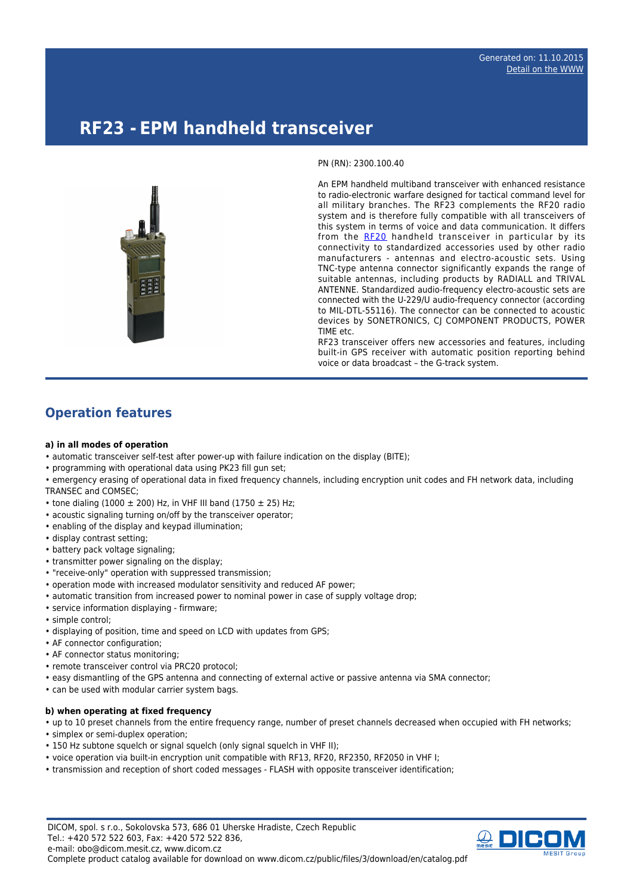# **RF23 - EPM handheld transceiver**



An EPM handheld multiband transceiver with enhanced resistance to radio-electronic warfare designed for tactical command level for all military branches. The RF23 complements the RF20 radio system and is therefore fully compatible with all transceivers of this system in terms of voice and data communication. It differs from the [RF20](http://www.dicom.cz/en/product/352-epm-handheld-transceiver) handheld transceiver in particular by its connectivity to standardized accessories used by other radio manufacturers - antennas and electro-acoustic sets. Using TNC-type antenna connector significantly expands the range of suitable antennas, including products by RADIALL and TRIVAL ANTENNE. Standardized audio-frequency electro-acoustic sets are connected with the U-229/U audio-frequency connector (according to MIL-DTL-55116). The connector can be connected to acoustic devices by SONETRONICS, CJ COMPONENT PRODUCTS, POWER TIME etc.

RF23 transceiver offers new accessories and features, including built-in GPS receiver with automatic position reporting behind voice or data broadcast – the G-track system.

# **Operation features**

#### **a) in all modes of operation**

- automatic transceiver self-test after power-up with failure indication on the display (BITE);
- programming with operational data using PK23 fill gun set;
- emergency erasing of operational data in fixed frequency channels, including encryption unit codes and FH network data, including TRANSEC and COMSEC;
- tone dialing (1000  $\pm$  200) Hz, in VHF III band (1750  $\pm$  25) Hz;
- acoustic signaling turning on/off by the transceiver operator;
- enabling of the display and keypad illumination;
- display contrast setting;
- battery pack voltage signaling;
- transmitter power signaling on the display;
- "receive-only" operation with suppressed transmission;
- operation mode with increased modulator sensitivity and reduced AF power;
- automatic transition from increased power to nominal power in case of supply voltage drop;
- service information displaying firmware;
- simple control;
- displaying of position, time and speed on LCD with updates from GPS;
- AF connector configuration;
- AF connector status monitoring;
- remote transceiver control via PRC20 protocol;
- easy dismantling of the GPS antenna and connecting of external active or passive antenna via SMA connector;
- can be used with modular carrier system bags.

#### **b) when operating at fixed frequency**

- up to 10 preset channels from the entire frequency range, number of preset channels decreased when occupied with FH networks;
- simplex or semi-duplex operation;
- 150 Hz subtone squelch or signal squelch (only signal squelch in VHF II);
- voice operation via built-in encryption unit compatible with RF13, RF20, RF2350, RF2050 in VHF I;
- transmission and reception of short coded messages FLASH with opposite transceiver identification;

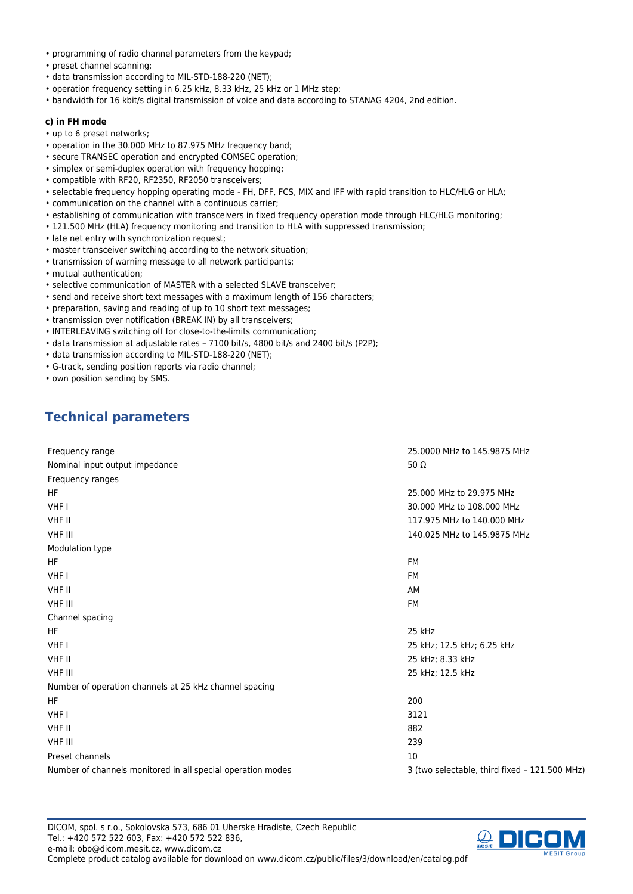- programming of radio channel parameters from the keypad;
- preset channel scanning;
- data transmission according to MIL-STD-188-220 (NET);
- operation frequency setting in 6.25 kHz, 8.33 kHz, 25 kHz or 1 MHz step;
- bandwidth for 16 kbit/s digital transmission of voice and data according to STANAG 4204, 2nd edition.

#### **c) in FH mode**

- up to 6 preset networks;
- operation in the 30.000 MHz to 87.975 MHz frequency band;
- secure TRANSEC operation and encrypted COMSEC operation;
- simplex or semi-duplex operation with frequency hopping;
- compatible with RF20, RF2350, RF2050 transceivers;
- selectable frequency hopping operating mode FH, DFF, FCS, MIX and IFF with rapid transition to HLC/HLG or HLA;
- communication on the channel with a continuous carrier;
- establishing of communication with transceivers in fixed frequency operation mode through HLC/HLG monitoring;
- 121.500 MHz (HLA) frequency monitoring and transition to HLA with suppressed transmission;
- late net entry with synchronization request;
- master transceiver switching according to the network situation;
- transmission of warning message to all network participants;
- mutual authentication;
- selective communication of MASTER with a selected SLAVE transceiver;
- send and receive short text messages with a maximum length of 156 characters;
- preparation, saving and reading of up to 10 short text messages;
- transmission over notification (BREAK IN) by all transceivers;
- INTERLEAVING switching off for close-to-the-limits communication;
- data transmission at adjustable rates 7100 bit/s, 4800 bit/s and 2400 bit/s (P2P);
- data transmission according to MIL-STD-188-220 (NET);
- G-track, sending position reports via radio channel;
- own position sending by SMS.

# **Technical parameters**

| Frequency range                                             | 25,0000 MHz to 145,9875 MHz                   |
|-------------------------------------------------------------|-----------------------------------------------|
| Nominal input output impedance                              | 50 $\Omega$                                   |
| Frequency ranges                                            |                                               |
| <b>HF</b>                                                   | 25,000 MHz to 29,975 MHz                      |
| VHF I                                                       | 30,000 MHz to 108,000 MHz                     |
| VHF II                                                      | 117.975 MHz to 140.000 MHz                    |
| <b>VHF III</b>                                              | 140.025 MHz to 145.9875 MHz                   |
| Modulation type                                             |                                               |
| HF.                                                         | FM                                            |
| VHF I                                                       | FM                                            |
| VHF II                                                      | AM                                            |
| <b>VHF III</b>                                              | FM                                            |
| Channel spacing                                             |                                               |
| HF                                                          | 25 kHz                                        |
| VHF I                                                       | 25 kHz; 12.5 kHz; 6.25 kHz                    |
| VHF II                                                      | 25 kHz; 8.33 kHz                              |
| <b>VHF III</b>                                              | 25 kHz; 12.5 kHz                              |
| Number of operation channels at 25 kHz channel spacing      |                                               |
| HF.                                                         | 200                                           |
| VHF I                                                       | 3121                                          |
| VHF II                                                      | 882                                           |
| <b>VHF III</b>                                              | 239                                           |
| Preset channels                                             | 10                                            |
| Number of channels monitored in all special operation modes | 3 (two selectable, third fixed - 121.500 MHz) |

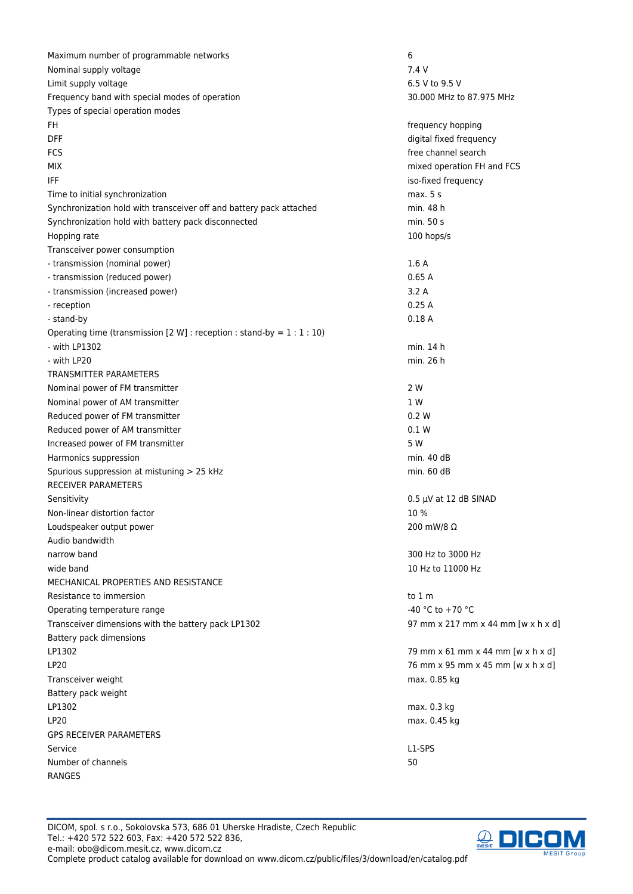Maximum number of programmable networks 6 Nominal supply voltage 7.4 V Limit supply voltage 6.5 V to 9.5 V Frequency band with special modes of operation 30.000 MHz to 87.975 MHz Types of special operation modes FH frequency hopping DFF digital fixed frequency FCS **free** channel search MIX mixed operation FH and FCS **IFF** iso-fixed frequency Time to initial synchronization max. 5 s Synchronization hold with transceiver off and battery pack attached min. 48 h Synchronization hold with battery pack disconnected min. 50 s Hopping rate and the state of the state of the state of the state of the state of the state of the state of the state of the state of the state of the state of the state of the state of the state of the state of the state Transceiver power consumption - transmission (nominal power) 1.6 A - transmission (reduced power) 0.65 A - transmission (increased power) 3.2 A - reception 0.25 A - stand-by 0.18 A Operating time (transmission  $[2 \text{ W}]$  : reception : stand-by =  $1:1:10$ ) - with LP1302 min. 14 h - with LP20 min. 26 h TRANSMITTER PARAMETERS Nominal power of FM transmitter 2 W Nominal power of AM transmitter 1 W Reduced power of FM transmitter 0.2 W Reduced power of AM transmitter 0.1 W Increased power of FM transmitter 6 NM and the SNM and the SNM and SNM and SNM and SNM and SNM and SNM and SNM  $\sim$  5 W Harmonics suppression and the state of the state of the state of the state of the state of the state of the state of the state of the state of the state of the state of the state of the state of the state of the state of t Spurious suppression at mistuning  $> 25$  kHz min. 60 dB RECEIVER PARAMETERS Sensitivity 6.5 μV at 12 dB SINAD Non-linear distortion factor  $10\%$ Loudspeaker output power 200 mW/8 Ω Audio bandwidth narrow band 300 Hz to 3000 Hz to 3000 Hz to 3000 Hz to 3000 Hz to 3000 Hz to 3000 Hz to 3000 Hz to 3000 Hz to 3000 Hz to 3000 Hz to 3000 Hz to 3000 Hz to 3000 Hz to 3000 Hz to 3000 Hz to 3000 Hz to 3000 Hz to 3000 Hz to 30 wide band 10 Hz to 11000 Hz MECHANICAL PROPERTIES AND RESISTANCE Resistance to immersion to the contract of the contract of the contract of the contract of the contract of the contract of the contract of the contract of the contract of the contract of the contract of the contract of the Operating temperature range  $-40 \degree$ C to +70  $\degree$ C Transceiver dimensions with the battery pack LP1302 97 mm x 217 mm x 44 mm [w x h x d] Battery pack dimensions LP1302 79 mm x 61 mm x 44 mm [w x h x d] LP20 76 mm x 95 mm x 45 mm [w x h x d] Transceiver weight max. 0.85 kg Battery pack weight LP1302 max. 0.3 kg LP20 max. 0.45 kg GPS RECEIVER PARAMETERS Service L1-SPS Number of channels **50** RANGES